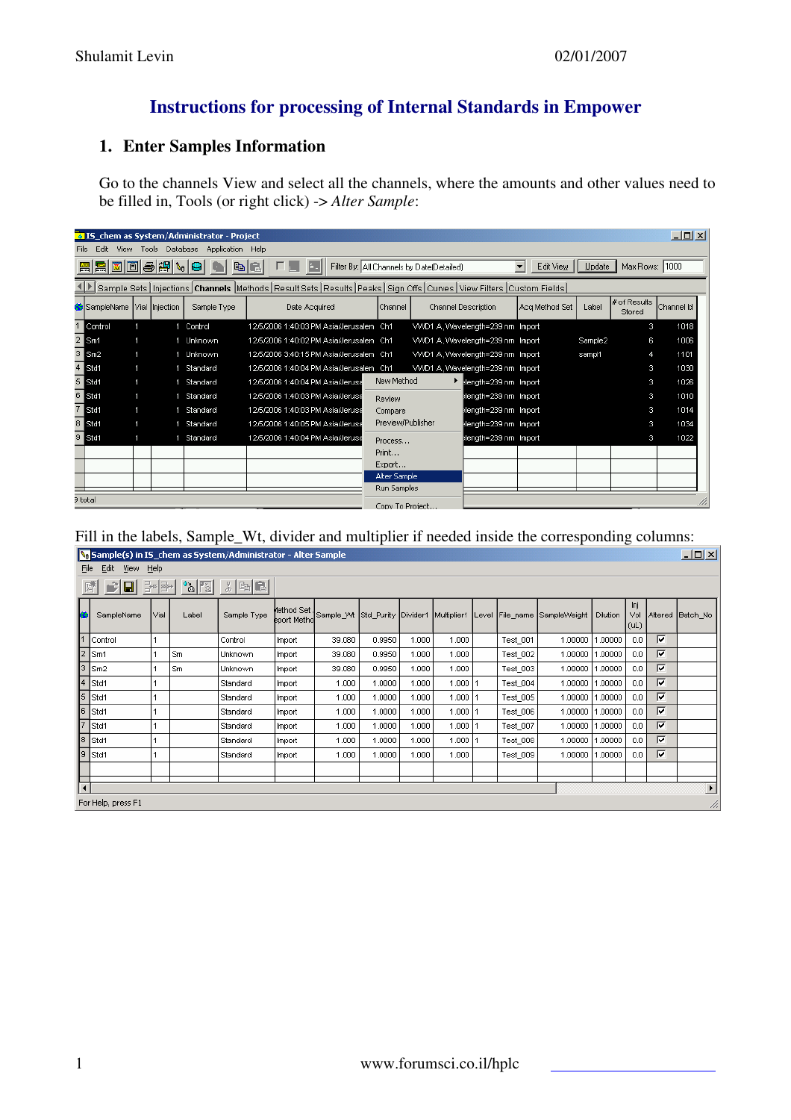## **Instructions for processing of Internal Standards in Empower**

## **1. Enter Samples Information**

Go to the channels View and select all the channels, where the amounts and other values need to be filled in, Tools (or right click) -> *Alter Sample*:

|                                                                                                                                   |                                                                                                                       | $\Box$ o $\Box$<br><b>A IS</b> chem as System/Administrator - Project<br>Tools Database<br>Application Help<br>View |   |             |                                         |                   |  |                                   |                |         |                        |            |  |  |  |
|-----------------------------------------------------------------------------------------------------------------------------------|-----------------------------------------------------------------------------------------------------------------------|---------------------------------------------------------------------------------------------------------------------|---|-------------|-----------------------------------------|-------------------|--|-----------------------------------|----------------|---------|------------------------|------------|--|--|--|
| File                                                                                                                              | Edit.                                                                                                                 |                                                                                                                     |   |             |                                         |                   |  |                                   |                |         |                        |            |  |  |  |
|                                                                                                                                   | a C<br>Max Rows: 1000<br>Filter By: All Channels by Date(Detailed)<br>$\overline{\phantom{a}}$<br>Edit View<br>Update |                                                                                                                     |   |             |                                         |                   |  |                                   |                |         |                        |            |  |  |  |
| Sample Sets   Injections   Channels   Methods   Result Sets   Results   Peaks   Sign Offs   Curves   View Filters   Custom Fields |                                                                                                                       |                                                                                                                     |   |             |                                         |                   |  |                                   |                |         |                        |            |  |  |  |
|                                                                                                                                   | SampleName Vial Injection                                                                                             |                                                                                                                     |   | Sample Type | Date Acquired                           | Channel           |  | Channel Description               | Aca Method Set | Label   | # of Results<br>Stored | Channel Id |  |  |  |
|                                                                                                                                   | Control                                                                                                               |                                                                                                                     | 4 | Control     | 12/5/2006 1:40:03 PM Asia/Jerusalem Ch1 |                   |  | VVVD1 A, Wavelength=239 nm Import |                |         | 3                      | 1018       |  |  |  |
| $\overline{2}$                                                                                                                    | Sm1                                                                                                                   |                                                                                                                     |   | Unknown     | 12/5/2006 1:40:02 PM Asia/Jerusalem Ch1 |                   |  | VVVD1 A, Wavelength=239 nm Import |                | Sample2 | 6                      | 1006       |  |  |  |
|                                                                                                                                   | Sm2                                                                                                                   |                                                                                                                     |   | 1 Unknown   | 12/5/2006 3:40:15 PM Asia/Jerusalem Ch1 |                   |  | VVVD1 A, Wavelength=239 nm Import |                | sampl1  | 4                      | 1101       |  |  |  |
|                                                                                                                                   | Std1                                                                                                                  |                                                                                                                     |   | Standard    | 12/5/2006 1:40:04 PM Asia/Jerusalem Ch1 |                   |  | VVVD1 A, Wavelength=239 nm Import |                |         | 3                      | 1030       |  |  |  |
|                                                                                                                                   | Std1                                                                                                                  |                                                                                                                     |   | Standard    | 12/5/2006 1:40:04 PM Asia/Jerusa        | New Method        |  | length=239 nm Import              |                |         | 3                      | 1026       |  |  |  |
| 6                                                                                                                                 | Std1                                                                                                                  |                                                                                                                     |   | Standard    | 12/5/2006 1:40:03 PM Asia/Jerusa        | Review            |  | Hength=239 nm Import              |                |         | 3                      | 1010       |  |  |  |
|                                                                                                                                   | Std1                                                                                                                  |                                                                                                                     |   | Standard    | 12/5/2006 1:40:03 PM Asia/Jerusa        | Compare           |  | Blength=239 nm Import             |                |         | з                      | 1014       |  |  |  |
|                                                                                                                                   | Std1                                                                                                                  |                                                                                                                     |   | Standard    | 12/5/2006 1:40:05 PM Asia/Jerusa        | Preview/Publisher |  | Hength=239 nm Import              |                |         | з                      | 1034       |  |  |  |
|                                                                                                                                   | Std1                                                                                                                  |                                                                                                                     |   | Standard    | 12/5/2006 1:40:04 PM Asia/Jerusa        | Process           |  | Hength=239 nm Import              |                |         | з                      | 1022       |  |  |  |
|                                                                                                                                   |                                                                                                                       |                                                                                                                     |   |             |                                         | Print             |  |                                   |                |         |                        |            |  |  |  |
|                                                                                                                                   |                                                                                                                       |                                                                                                                     |   |             |                                         | Export            |  |                                   |                |         |                        |            |  |  |  |
| Alter Sample                                                                                                                      |                                                                                                                       |                                                                                                                     |   |             |                                         |                   |  |                                   |                |         |                        |            |  |  |  |
|                                                                                                                                   |                                                                                                                       |                                                                                                                     |   |             |                                         | Run Samples       |  |                                   |                |         |                        |            |  |  |  |
|                                                                                                                                   | 3 total                                                                                                               |                                                                                                                     |   |             |                                         | Copy To Project   |  |                                   |                |         |                        |            |  |  |  |

# Fill in the labels, Sample\_Wt, divider and multiplier if needed inside the corresponding columns:

|     | a sample sy in 13 Jenem as system/ namilistrator - nicer sample.<br>لعرصهم<br>File Edit View Help                                    |       |       |                                           |        |                                                                                       |        |       |          |  |          |                         |        |             |                         |                       |
|-----|--------------------------------------------------------------------------------------------------------------------------------------|-------|-------|-------------------------------------------|--------|---------------------------------------------------------------------------------------|--------|-------|----------|--|----------|-------------------------|--------|-------------|-------------------------|-----------------------|
|     |                                                                                                                                      |       |       |                                           |        |                                                                                       |        |       |          |  |          |                         |        |             |                         |                       |
| 居   | $\blacksquare$                                                                                                                       | 글⊞ 클* |       | $\frac{1}{\sqrt{2}}$ $\frac{1}{\sqrt{2}}$ |        |                                                                                       |        |       |          |  |          |                         |        |             |                         |                       |
|     | SampleName                                                                                                                           | Vial  | Label | Sample Type                               |        | Method Set  <br>eport Metho Sample_Wt Std_Purity Divider1 Multiplier1 Level File_name |        |       |          |  |          | SampleWeight   Dilution |        | Inj<br>(UL) |                         | Vol Altered Batch No  |
|     | Control                                                                                                                              |       |       | Control                                   | Import | 39.080                                                                                | 0.9950 | 1.000 | 1.000    |  | Test_001 | 1.00000                 | .00000 | 0.0         | ⊽                       |                       |
|     | ⊽<br>Sm1<br>Sm<br>0.9950<br>1.000<br>1.00000<br>.00000<br>0.0<br>39.080<br>1.000<br>Test_002<br>Unknown<br>Import                    |       |       |                                           |        |                                                                                       |        |       |          |  |          |                         |        |             |                         |                       |
| 3   | ⊽<br>Sm <sub>2</sub><br>0.0<br>0.9950<br>1.000<br>Test 003<br>.00000<br>l Sm<br>39.080<br>1.000<br>1.00000<br>Import<br>Unknown      |       |       |                                           |        |                                                                                       |        |       |          |  |          |                         |        |             |                         |                       |
| 4   | $\overline{\mathbf{v}}$<br>Std1<br>.00000<br>0.0<br>1.000<br>1.0000<br>1.000<br>1.000  <br>Test 004<br>1.00000<br>Import<br>Standard |       |       |                                           |        |                                                                                       |        |       |          |  |          |                         |        |             |                         |                       |
| 5   | Std1                                                                                                                                 |       |       | Standard                                  | Import | 1.000                                                                                 | 1.0000 | 1.000 | 1.000 1  |  | Test_005 | 1.00000                 | .00000 | 0.0         | $\overline{\mathbf{v}}$ |                       |
| Iв  | Std1                                                                                                                                 |       |       | Standard                                  | Import | 1.000                                                                                 | 1.0000 | 1.000 | 1.000    |  | Test_006 | 1.00000                 | .00000 | 0.0         | ⊽                       |                       |
|     | Std1                                                                                                                                 |       |       | Standard                                  | Import | 1.000                                                                                 | 1.0000 | 1.000 | 1.000 11 |  | Test 007 | 1.00000                 | .00000 | 0.0         | ⊽                       |                       |
| l8. | Std1                                                                                                                                 |       |       | Standard                                  | Import | 1.000                                                                                 | 1.0000 | 1.000 | 1.000    |  | Test_008 | 1.00000                 | .00000 | 0.0         | ⊽                       |                       |
| l9. | Std1                                                                                                                                 |       |       | Standard                                  | Import | 1.000                                                                                 | 1.0000 | 1.000 | 1.000    |  | Test_009 | 1.00000                 | .00000 | 0.0         | ⊽                       |                       |
|     |                                                                                                                                      |       |       |                                           |        |                                                                                       |        |       |          |  |          |                         |        |             |                         |                       |
|     |                                                                                                                                      |       |       |                                           |        |                                                                                       |        |       |          |  |          |                         |        |             |                         | $\blacktriangleright$ |
|     | For Help, press F1                                                                                                                   |       |       |                                           |        |                                                                                       |        |       |          |  |          |                         |        |             |                         | n                     |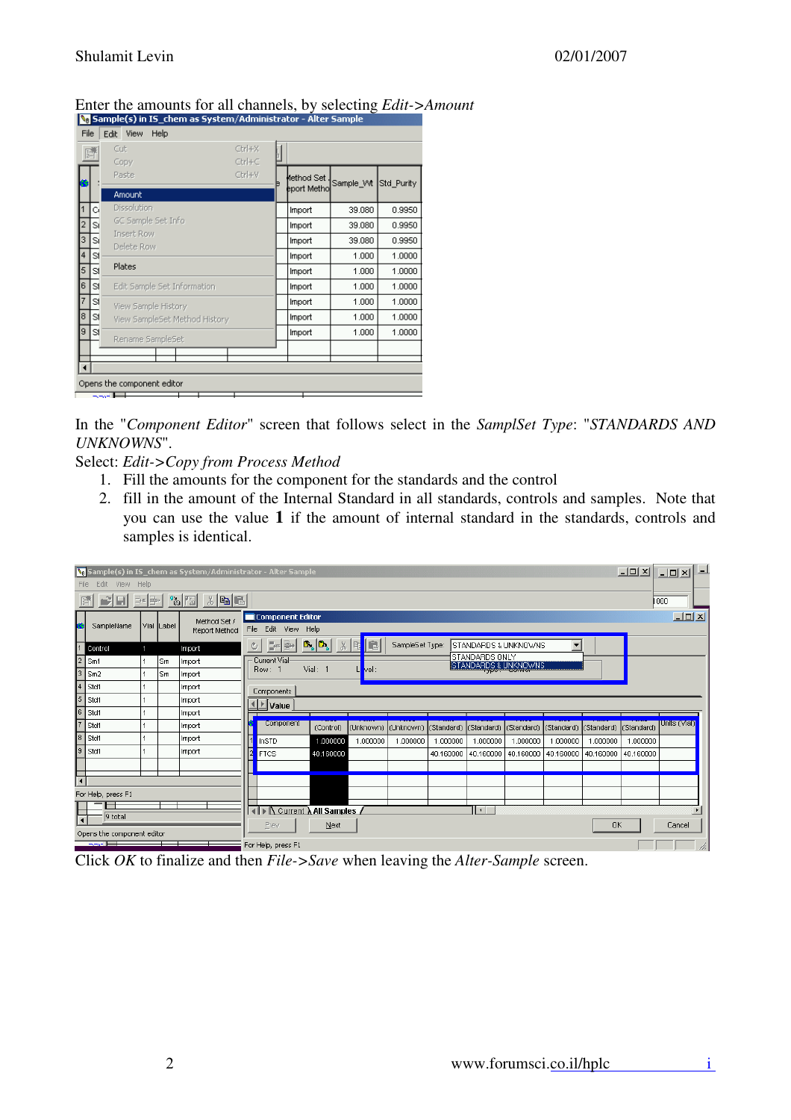|                |                               | Sample(s) in IS_chem as System/Administrator - Alter Sample |              |            |            |
|----------------|-------------------------------|-------------------------------------------------------------|--------------|------------|------------|
| File           | Edit View<br>Help             |                                                             |              |            |            |
|                | Cut                           | Ctrl+X                                                      |              |            |            |
|                | Copy                          | Ctrl+C                                                      |              |            |            |
|                | Paste                         | Ctrl+V<br>Þ                                                 | lethod Set   | Sample_Vvt | Std_Purity |
|                | Amount                        |                                                             | eport Methol |            |            |
| C.             | Dissolution                   |                                                             | Import       | 39.080     | 0.9950     |
| 2<br>Sį        | GC Sample Set Info            |                                                             | Import       | 39.080     | 0.9950     |
| 3<br>SĮ        | Insert Row<br>Delete Row      |                                                             | Import       | 39.080     | 0.9950     |
| 4<br>2         |                               |                                                             | Import       | 1.000      | 1.0000     |
| 5<br>21        | Plates                        |                                                             | Import       | 1.000      | 1.0000     |
| 6<br>1SI       | Edit Sample Set Information   |                                                             | Import       | 1.000      | 1.0000     |
| 2              | View Sample History           |                                                             | Import       | 1.000      | 1.0000     |
| 8.<br>2        | View SampleSet Method History |                                                             | Import       | 1.000      | 1.0000     |
| 9<br>2         | Rename SampleSet              |                                                             | Import       | 1.000      | 1.0000     |
|                |                               |                                                             |              |            |            |
| $\overline{4}$ |                               |                                                             |              |            |            |
|                | Opens the component editor    |                                                             |              |            |            |
|                | --- E                         |                                                             |              |            |            |

#### Enter the amounts for all channels, by selecting *Edit->Amount*

In the "*Component Editor*" screen that follows select in the *SamplSet Type*: "*STANDARDS AND UNKNOWNS*".

#### Select: *Edit->Copy from Process Method*

- 1. Fill the amounts for the component for the standards and the control
- 2. fill in the amount of the Internal Standard in all standards, controls and samples. Note that you can use the value **1** if the amount of internal standard in the standards, controls and samples is identical.

| $ \Box$ $\times$<br><b>No</b> Sample(s) in IS_chem as System/Administrator - Alter Sample<br>Edit View Help<br>File |                                                                                                                            |        |            |                               |    |                                         |                                                                  |          |                 |           |                                                                                              |           |                          | $  $ $\Box$   $\times$ | ᅴ         |                  |  |
|---------------------------------------------------------------------------------------------------------------------|----------------------------------------------------------------------------------------------------------------------------|--------|------------|-------------------------------|----|-----------------------------------------|------------------------------------------------------------------|----------|-----------------|-----------|----------------------------------------------------------------------------------------------|-----------|--------------------------|------------------------|-----------|------------------|--|
|                                                                                                                     | FIEI                                                                                                                       | B•e er |            | 'à [5]<br>※ 电 日               |    |                                         |                                                                  |          |                 |           |                                                                                              |           |                          |                        |           | 000              |  |
|                                                                                                                     | SampleName                                                                                                                 |        | Vial Label | Method Set /<br>Report Method |    | Component Editor<br>File Edit View Help |                                                                  |          |                 |           |                                                                                              |           |                          |                        |           | $ I \square  X $ |  |
|                                                                                                                     | Control                                                                                                                    |        |            | Import                        | O. | 라페<br>e e                               | $\mathbf{B}_{\mathbf{a}}\vert\mathbf{B}_{\mathbf{a}}\vert$<br>Y, | E        | SampleSet Type: |           | STANDARDS & UNKNOWNS                                                                         |           | $\overline{\phantom{a}}$ |                        |           |                  |  |
|                                                                                                                     | STANDARDS ONLY<br>Current Vial<br>Sm1<br>∣Sm<br>Import<br><b>STANDARDS &amp; UNKNOWNS</b><br>Vial: 1<br>Row: 1<br>$Vert$ : |        |            |                               |    |                                         |                                                                  |          |                 |           |                                                                                              |           |                          |                        |           |                  |  |
| Iз                                                                                                                  | Sm <sub>2</sub>                                                                                                            |        | Sm         | Import                        |    |                                         |                                                                  |          |                 |           |                                                                                              |           |                          |                        |           |                  |  |
| 14                                                                                                                  | Std1                                                                                                                       |        |            | Import                        |    | Components                              |                                                                  |          |                 |           |                                                                                              |           |                          |                        |           |                  |  |
| 5                                                                                                                   | Std1                                                                                                                       |        |            | Import                        |    | <u>ै</u> ∐Value                         |                                                                  |          |                 |           |                                                                                              |           |                          |                        |           |                  |  |
| lе                                                                                                                  | Std1                                                                                                                       |        |            | Import                        |    |                                         |                                                                  |          |                 |           |                                                                                              |           |                          |                        |           |                  |  |
| 7                                                                                                                   | Std1                                                                                                                       |        |            | Import                        |    | Component                               | (Control)                                                        |          |                 |           | (Unknown)  (Unknown)  (Standard)  (Standard)  (Standard)  (Standard)  (Standard)  (Standard) |           |                          |                        |           | Units (Vial)     |  |
| l8                                                                                                                  | Std1                                                                                                                       |        |            | Import                        |    | <b>InSTD</b>                            | 1,000000                                                         | 1.000000 | 1.000000        | 1.000000  | 1.000000                                                                                     | 1,000000  | 1.000000                 | 1.000000               | 1.000000  |                  |  |
| l9.                                                                                                                 | Std1                                                                                                                       |        |            | Import                        |    | <b>FTCS</b>                             | 40.160000                                                        |          |                 | 40.160000 | 40.160000                                                                                    | 40.160000 | 40.160000                | 40.160000              | 40.160000 |                  |  |
|                                                                                                                     |                                                                                                                            |        |            |                               |    |                                         |                                                                  |          |                 |           |                                                                                              |           |                          |                        |           |                  |  |
| ⊺∢                                                                                                                  |                                                                                                                            |        |            |                               |    |                                         |                                                                  |          |                 |           |                                                                                              |           |                          |                        |           |                  |  |
|                                                                                                                     | For Help, press F1                                                                                                         |        |            |                               |    |                                         |                                                                  |          |                 |           |                                                                                              |           |                          |                        |           |                  |  |
|                                                                                                                     | ⊢<br>9 total                                                                                                               |        |            |                               |    |                                         | <b>∢ D</b> Current <b>A All Samples</b>                          |          |                 |           | $\vert \cdot \vert$                                                                          |           |                          |                        |           |                  |  |
|                                                                                                                     | Opens the component editor                                                                                                 |        |            |                               |    | Prev                                    | Next                                                             |          |                 |           |                                                                                              |           |                          | <b>OK</b>              |           | Cancel           |  |
|                                                                                                                     | 35. ET                                                                                                                     |        |            |                               |    | For Help, press F1                      |                                                                  |          |                 |           |                                                                                              |           |                          |                        |           |                  |  |

Click *OK* to finalize and then *File->Save* when leaving the *Alter-Sample* screen.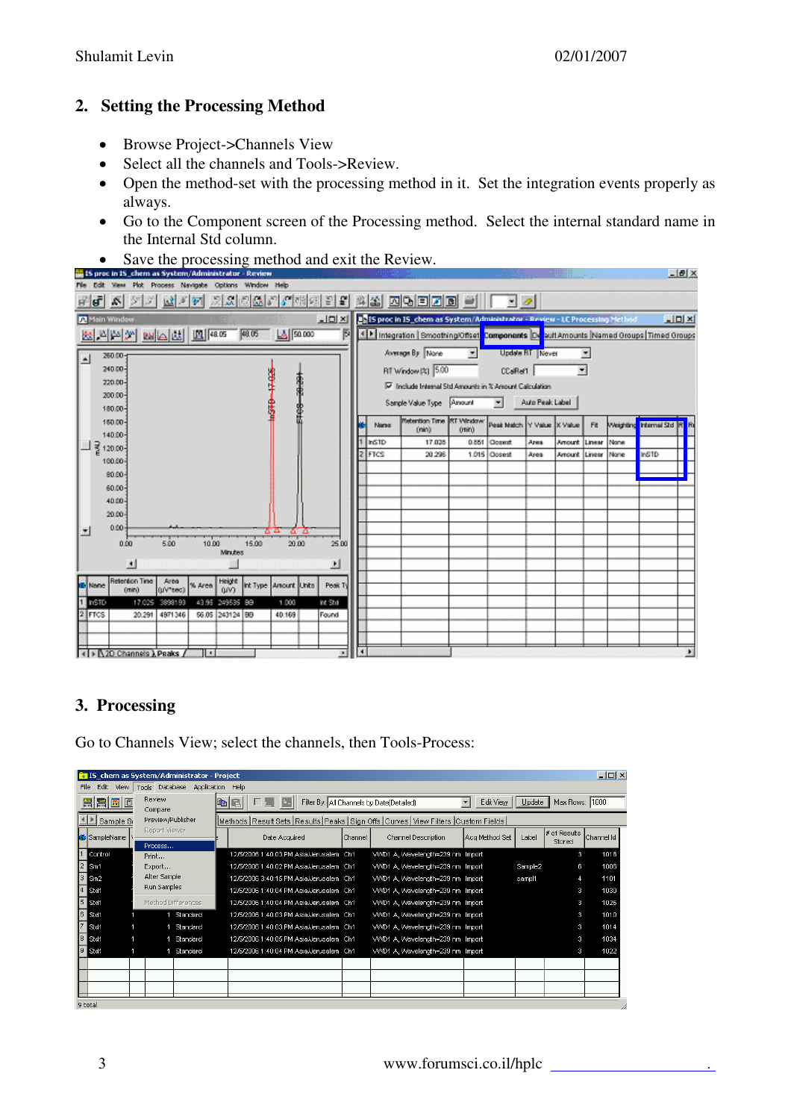### **2. Setting the Processing Method**

- Browse Project->Channels View
- Select all the channels and Tools->Review.
- Open the method-set with the processing method in it. Set the integration events properly as always.
- Go to the Component screen of the Processing method. Select the internal standard name in the Internal Std column.
- Save the processing method and exit the Review.



## **3. Processing**

Go to Channels View; select the channels, then Tools-Process:

|                | $ \Box$ $\times$<br>3 IS chem as System/Administrator - Project<br>Edit<br>Tools Database Application<br>View<br>Help |                          |                    |      |               |                                         |                |                                                                               |                                       |         |                        |            |  |  |
|----------------|-----------------------------------------------------------------------------------------------------------------------|--------------------------|--------------------|------|---------------|-----------------------------------------|----------------|-------------------------------------------------------------------------------|---------------------------------------|---------|------------------------|------------|--|--|
| File           |                                                                                                                       |                          |                    |      |               |                                         |                |                                                                               |                                       |         |                        |            |  |  |
| 圖圖<br>bc       |                                                                                                                       | Review<br>Compare        |                    | biai |               |                                         |                | Filter By: All Channels by Date(Detailed)                                     | $\overline{\phantom{a}}$<br>Edit View | Update  | Max Rows: 1000         |            |  |  |
| Sample S       |                                                                                                                       | Preview/Publisher        |                    |      |               |                                         |                | Methods Result Sets Results Peaks Sign Offs Curves View Filters Custom Fields |                                       |         |                        |            |  |  |
| SampleName     |                                                                                                                       | Report Viewer<br>Process |                    |      | Date Acquired |                                         | <b>Channel</b> | Channel Description                                                           | Acq Method Set                        | Label   | # of Results<br>Stored | Channel Id |  |  |
| Control        |                                                                                                                       | Print                    |                    |      |               | 12/5/2006 1:40:03 PM Asia/Jerusalem Ch1 |                | VVVD1 A. Wavelength=239 nm Import                                             |                                       |         | Э                      | 1018       |  |  |
| $\mathsf{Sm1}$ |                                                                                                                       | Export                   |                    |      |               | 12/5/2006 1:40:02 PM Asia/Jerusalem Ch1 |                | VVVD1 A, Wavelength=239 nm Import                                             |                                       | Sample2 | 6                      | 1006       |  |  |
| $\mathsf{Sm2}$ |                                                                                                                       | Alter Sample             |                    |      |               | 12/5/2006 3:40:15 PM Asia/Jerusalem Ch1 |                | VVVD1 A, Wavelength=239 nm Import                                             |                                       | sampl1  | 4                      | 1101       |  |  |
| Std1           |                                                                                                                       | Run Samples              |                    |      |               | 12/5/2006 1:40:04 PM Asia/Jerusalem Ch1 |                | VVVD1 A, Wavelength=239 nm Import                                             |                                       |         | з                      | 1030       |  |  |
| Std1           |                                                                                                                       |                          | Method Differences |      |               | 12/5/2006 1:40:04 PM Asia/Jerusalem Ch1 |                | VVVD1 A. Wavelength=239 nm Import                                             |                                       |         | з                      | 1026       |  |  |
| Std1           |                                                                                                                       |                          | Standard           |      |               | 12/5/2006 1:40:03 PM Asia/Jerusalem Ch1 |                | VVVD1 A, Wavelength=239 nm Import                                             |                                       |         | з                      | 1010       |  |  |
| Std1           |                                                                                                                       |                          | Standard           |      |               | 12/5/2006 1:40:03 PM Asia/Jerusalem Ch1 |                | VV/D1 A, Wavelength=239 nm Import                                             |                                       |         | з                      | 1014       |  |  |
| Std1           |                                                                                                                       |                          | Standard           |      |               | 12/5/2006 1:40:05 PM Asia/Jerusalem Ch1 |                | VVVD1 A, Wavelength=239 nm Import                                             |                                       |         | з                      | 1034       |  |  |
| Std1           |                                                                                                                       |                          | Standard           |      |               | 12/5/2006 1:40:04 PM Asia/Jerusalem Ch1 |                | VVVD1 A, Wavelength=239 nm Import                                             |                                       |         | з                      | 1022       |  |  |
|                |                                                                                                                       |                          |                    |      |               |                                         |                |                                                                               |                                       |         |                        |            |  |  |
|                |                                                                                                                       |                          |                    |      |               |                                         |                |                                                                               |                                       |         |                        |            |  |  |
|                |                                                                                                                       |                          |                    |      |               |                                         |                |                                                                               |                                       |         |                        |            |  |  |
|                |                                                                                                                       |                          |                    |      |               |                                         |                |                                                                               |                                       |         |                        |            |  |  |

9 total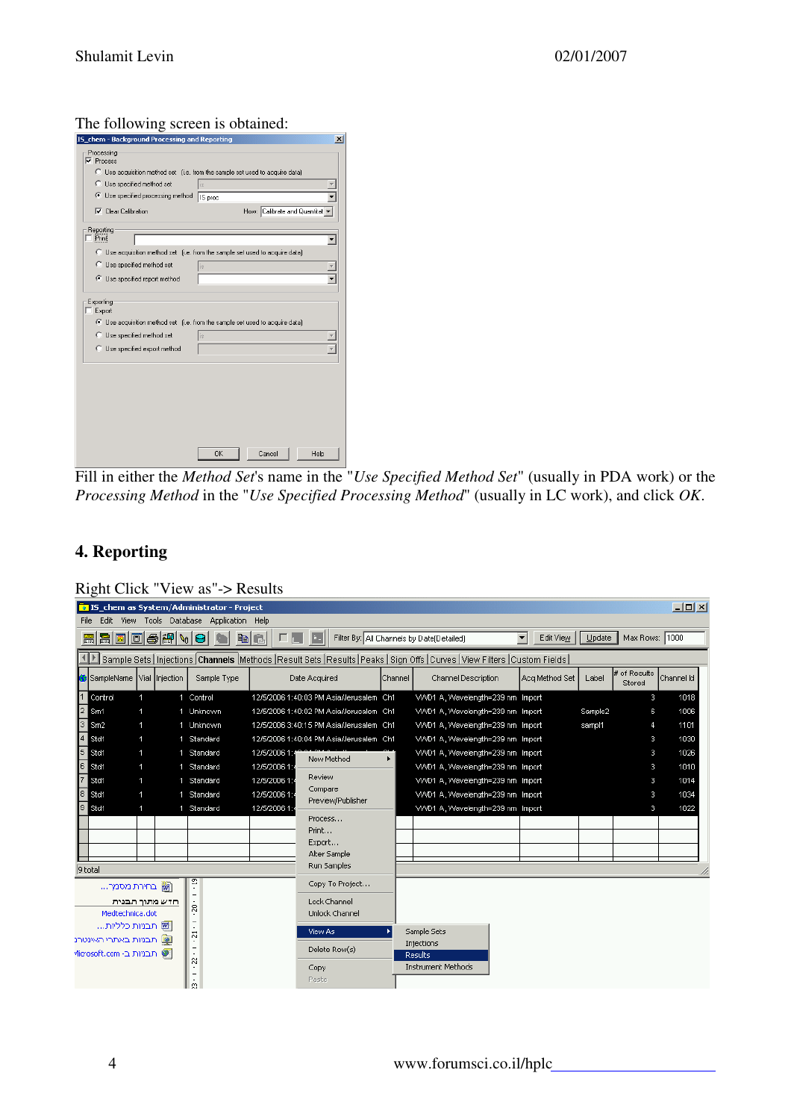#### The following screen is obtained:

|                                                                                                                                                                                                                                                                                                                                                                                                                                                                                                                                                                |         | $\vert x \vert$ |  |
|----------------------------------------------------------------------------------------------------------------------------------------------------------------------------------------------------------------------------------------------------------------------------------------------------------------------------------------------------------------------------------------------------------------------------------------------------------------------------------------------------------------------------------------------------------------|---------|-----------------|--|
| Processing                                                                                                                                                                                                                                                                                                                                                                                                                                                                                                                                                     |         |                 |  |
| $\nabla$ Process                                                                                                                                                                                                                                                                                                                                                                                                                                                                                                                                               |         |                 |  |
|                                                                                                                                                                                                                                                                                                                                                                                                                                                                                                                                                                |         |                 |  |
| C Use specified method set                                                                                                                                                                                                                                                                                                                                                                                                                                                                                                                                     | İs      |                 |  |
|                                                                                                                                                                                                                                                                                                                                                                                                                                                                                                                                                                | IS proc |                 |  |
| IS chem - Background Processing and Reporting<br>C Use acquisition method set (i.e. from the sample set used to acquire data)<br>Use specified processing method<br>How: Calibrate and Quantitat<br>$\nabla$ Clear Calibration<br>Print<br>C Use acquisition method set (i.e. from the sample set used to acquire data)<br>C Use specified method set<br>lis<br>Use specified report method<br>Exporting<br>C Use acquisition method set (i.e. from the sample set used to acquire data)<br>C Use specified method set<br>lis<br>C Use specified export method |         |                 |  |
| Reporting                                                                                                                                                                                                                                                                                                                                                                                                                                                                                                                                                      |         |                 |  |
|                                                                                                                                                                                                                                                                                                                                                                                                                                                                                                                                                                |         |                 |  |
|                                                                                                                                                                                                                                                                                                                                                                                                                                                                                                                                                                |         |                 |  |
|                                                                                                                                                                                                                                                                                                                                                                                                                                                                                                                                                                |         |                 |  |
| OK<br>Cancel<br>Help                                                                                                                                                                                                                                                                                                                                                                                                                                                                                                                                           |         |                 |  |
|                                                                                                                                                                                                                                                                                                                                                                                                                                                                                                                                                                |         |                 |  |
| $\Box$ Export                                                                                                                                                                                                                                                                                                                                                                                                                                                                                                                                                  |         |                 |  |
|                                                                                                                                                                                                                                                                                                                                                                                                                                                                                                                                                                |         |                 |  |
|                                                                                                                                                                                                                                                                                                                                                                                                                                                                                                                                                                |         |                 |  |
|                                                                                                                                                                                                                                                                                                                                                                                                                                                                                                                                                                |         |                 |  |
|                                                                                                                                                                                                                                                                                                                                                                                                                                                                                                                                                                |         |                 |  |
|                                                                                                                                                                                                                                                                                                                                                                                                                                                                                                                                                                |         |                 |  |
|                                                                                                                                                                                                                                                                                                                                                                                                                                                                                                                                                                |         |                 |  |
|                                                                                                                                                                                                                                                                                                                                                                                                                                                                                                                                                                |         |                 |  |
|                                                                                                                                                                                                                                                                                                                                                                                                                                                                                                                                                                |         |                 |  |
|                                                                                                                                                                                                                                                                                                                                                                                                                                                                                                                                                                |         |                 |  |
|                                                                                                                                                                                                                                                                                                                                                                                                                                                                                                                                                                |         |                 |  |
|                                                                                                                                                                                                                                                                                                                                                                                                                                                                                                                                                                |         |                 |  |
|                                                                                                                                                                                                                                                                                                                                                                                                                                                                                                                                                                |         |                 |  |

Fill in either the *Method Set*'s name in the "*Use Specified Method Set*" (usually in PDA work) or the *Processing Method* in the "*Use Specified Processing Method*" (usually in LC work), and click *OK*.

## **4. Reporting**

| Right Click "View as"-> Results |  |  |  |
|---------------------------------|--|--|--|
|---------------------------------|--|--|--|

|                                                      | $\Box$ D $\Box$<br><b>a</b> IS chem as System/Administrator - Project<br>Edit View Tools Database Application Help |                |             |                |                                         |         |                                                                                                                                   |                             |          |                        |            |  |  |
|------------------------------------------------------|--------------------------------------------------------------------------------------------------------------------|----------------|-------------|----------------|-----------------------------------------|---------|-----------------------------------------------------------------------------------------------------------------------------------|-----------------------------|----------|------------------------|------------|--|--|
| File                                                 |                                                                                                                    |                |             |                |                                         |         |                                                                                                                                   |                             |          |                        |            |  |  |
| REDDSAVOI                                            |                                                                                                                    |                |             | a di           |                                         |         | Filter By: All Channels by Date(Detailed)                                                                                         | $\blacksquare$<br>Edit View | $Update$ | Max Rows: 1000         |            |  |  |
|                                                      |                                                                                                                    |                |             |                |                                         |         | Sample Sets   Injections   Channels   Methods   Result Sets   Results   Peaks   Sign Offs   Curves   View Filters   Custom Fields |                             |          |                        |            |  |  |
| SampleName  Vial  Injection                          |                                                                                                                    |                | Sample Type |                | Date Acquired                           | Channel | <b>Channel Description</b>                                                                                                        | Aca Method Set              | Label    | # of Results<br>Stored | Channel Id |  |  |
| Control                                              | 1.                                                                                                                 |                | 1 Control   |                | 12/5/2006 1:40:03 PM Asia/Jerusalem Ch1 |         | VVVD1 A, Wavelength=239 nm Import                                                                                                 |                             |          | 3                      | 1018       |  |  |
| Sm1                                                  |                                                                                                                    |                | 1 Unknown   |                | 12/5/2006 1:40:02 PM Asia/Jerusalem Ch1 |         | VVVD1 A. Wavelength=239 nm Import                                                                                                 |                             | Sample2  | 6                      | 1006       |  |  |
| Sm2                                                  | 1.                                                                                                                 |                | 1 Unknown   |                | 12/5/2006 3:40:15 PM Asia/Jerusalem Ch1 |         | VVVD1 A, Wavelength=239 nm Import                                                                                                 |                             | sampl1   | 4                      | 1101       |  |  |
| Std1                                                 | 1                                                                                                                  |                | 1 Standard  |                | 12/5/2006 1:40:04 PM Asia/Jerusalem Ch1 |         | VVVD1 A, Wavelength=239 nm Import                                                                                                 |                             |          | 3.                     | 1030       |  |  |
| Std1                                                 |                                                                                                                    |                | 1 Standard  | 12/5/2006 1:46 | New Method                              | ▶       | VVVD1 A, Wavelength=239 nm Import                                                                                                 |                             |          | 3.                     | 1026       |  |  |
| Std1                                                 | 1                                                                                                                  |                | 1 Standard  | 12/5/2006 1:   |                                         |         | VVVD1 A, Wavelength=239 nm Import                                                                                                 |                             |          | 3                      | 1010       |  |  |
| Std1                                                 | 1.                                                                                                                 |                | 1 Standard  | 12/5/2006 1:4  | Review<br>Compare                       |         | VVVD1 A, Wavelength=239 nm Import                                                                                                 |                             |          | 3                      | 1014       |  |  |
| Std1                                                 | 1.                                                                                                                 |                | 1 Standard  | 12/5/2006 1:4  | Preview/Publisher                       |         | VVVD1 A, Wavelength=239 nm Import                                                                                                 |                             |          | з                      | 1034       |  |  |
| Std1                                                 | 1                                                                                                                  |                | 1 Standard  | 12/5/2006 1:   |                                         |         | VVVD1 A, Wavelength=239 nm Import                                                                                                 |                             |          | 3.                     | 1022       |  |  |
|                                                      |                                                                                                                    |                |             |                | Process<br>Print                        |         |                                                                                                                                   |                             |          |                        |            |  |  |
|                                                      |                                                                                                                    |                |             |                | Export                                  |         |                                                                                                                                   |                             |          |                        |            |  |  |
|                                                      |                                                                                                                    |                |             |                | Alter Sample                            |         |                                                                                                                                   |                             |          |                        |            |  |  |
| 9 total                                              |                                                                                                                    |                |             |                | Run Samples                             |         |                                                                                                                                   |                             |          |                        |            |  |  |
| ו∰ בחירת מסמך                                        |                                                                                                                    |                | ã           |                | Copy To Project                         |         |                                                                                                                                   |                             |          |                        |            |  |  |
|                                                      |                                                                                                                    | חדש מתוך תבנית | g           |                | Lock Channel                            |         |                                                                                                                                   |                             |          |                        |            |  |  |
| Medtechnica.dot                                      |                                                                                                                    |                |             |                | Unlock Channel                          |         |                                                                                                                                   |                             |          |                        |            |  |  |
| ₪ תבניות כלליות<br>$\ddot{5}$                        |                                                                                                                    |                |             |                | View As                                 |         | Sample Sets                                                                                                                       |                             |          |                        |            |  |  |
| [◙] תבניות באתרי האינטרנ<br>$\overline{\phantom{0}}$ |                                                                                                                    |                |             |                | Delete Row(s)                           |         | Injections                                                                                                                        |                             |          |                        |            |  |  |
| י תבניות ב- Microsoft.com                            |                                                                                                                    |                | ÷,<br>S.    |                |                                         |         | <b>Results</b>                                                                                                                    |                             |          |                        |            |  |  |
|                                                      |                                                                                                                    |                |             |                | Instrument Methods<br>Copy              |         |                                                                                                                                   |                             |          |                        |            |  |  |
|                                                      |                                                                                                                    |                | Ø.          |                | Paste                                   |         |                                                                                                                                   |                             |          |                        |            |  |  |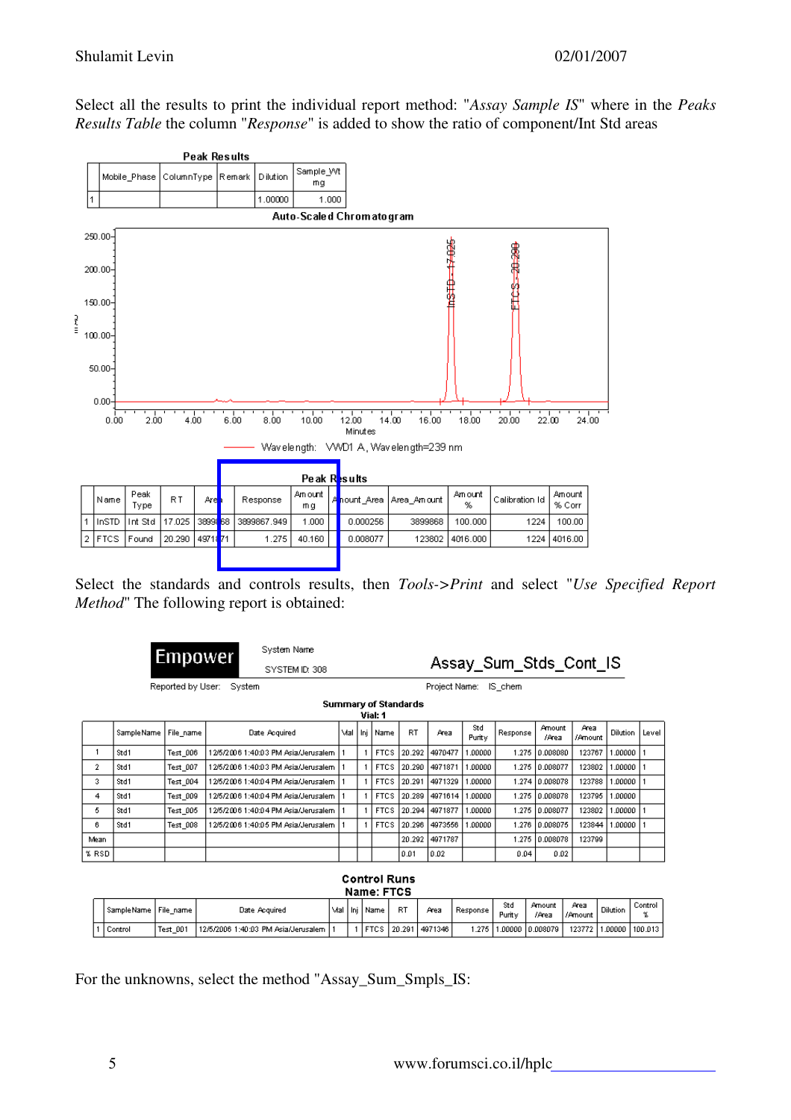Select all the results to print the individual report method: "*Assay Sample IS*" where in the *Peaks Results Table* the column "*Response*" is added to show the ratio of component/Int Std areas



Select the standards and controls results, then *Tools->Print* and select "*Use Specified Report Method*" The following report is obtained:

|              | Empower          |                   |        | System Name                         |       |                                        |           |               |               | Assay_Sum_Stds_Cont_IS |                 |                 |                 |       |
|--------------|------------------|-------------------|--------|-------------------------------------|-------|----------------------------------------|-----------|---------------|---------------|------------------------|-----------------|-----------------|-----------------|-------|
|              |                  |                   |        | SYSTEM ID: 308                      |       |                                        |           |               |               |                        |                 |                 |                 |       |
|              |                  | Reported by User: | System |                                     |       |                                        |           | Project Name: |               | IS chem                |                 |                 |                 |       |
|              |                  |                   |        |                                     |       | <b>Summary of Standards</b><br>Vial: 1 |           |               |               |                        |                 |                 |                 |       |
|              | Sample Name      | File_name         |        | Date Acquired                       | Mal I | Inj   Name                             | <b>RT</b> | Area          | Std<br>Purity | Response               | Amount<br>/Area | Area<br>/Amount | <b>Dilution</b> | Level |
|              | Std1             | Test 006          |        | 12/5/2006 1:40:03 PM Asia/Jerusalem |       | <b>FTCS</b>                            | 20.292    | 4970477       | 1.00000       | 1.275                  | 10.008080       | 123767          | .00000          |       |
| $\mathbf{2}$ | Std1<br>Test 007 |                   |        | 12/5/2006 1:40:03 PM Asia/Jerusalem |       | <b>FTCS</b>                            | 20.290    | 4971871       | 1.00000       | 1.275                  | 10.008077       | 123802          | .00000          |       |
| 3            | Std1             | Test 004          |        | 12/5/2006 1:40:04 PM Asia/Jerusalem |       | <b>FTCS</b>                            | 20.291    | 4971329       | .00000        |                        | 1.274 0.008078  | 123788          | .00000          |       |
| 4            | Std1             | Test 009          |        | 12/5/2006 1:40:04 PM Asia/Jerusalem |       | <b>FTCS</b>                            | 20.289    | 4971614       | 1.00000       | 1.275                  | 0.008078        | 123795          | 1.00000         |       |
| 5.           | Std1             | Test 005          |        | 12/5/2006 1:40:04 PM Asia/Jerusalem |       | <b>FTCS</b>                            | 20.294    | 4971877       | 1.00000       | 1.275                  | 0.008077        | 123802          | .00000          |       |
| 6.           | Std1<br>Test 008 |                   |        | 12/5/2006 1:40:05 PM Asia/Jerusalem |       | <b>FTCS</b>                            | 20.296    | 4973556       | 1.00000       | 1.276                  | 0.008075        | 123844          | 1.00000         |       |
| Mean         |                  |                   |        |                                     |       |                                        | 20.292    | 4971787       |               |                        | 1.275 0.008078  | 123799          |                 |       |
| % RSD        |                  |                   |        |                                     |       |                                        | 0.01      | 0.02          |               | 0.04                   | 0.02            |                 |                 |       |
|              |                  |                   |        |                                     |       | Cantral Dune                           |           |               |               |                        |                 |                 |                 |       |

| <b>Control Runs</b> |  |
|---------------------|--|
| Name: FTCS          |  |

| l SampleName I File name i |          | Mal<br>Date Acquired                |  | l ni | Name | RT          | Area    | : Response | Std<br>Purity | Amount<br>/Area   | Area<br>/Amount | Dilution   | Control |
|----------------------------|----------|-------------------------------------|--|------|------|-------------|---------|------------|---------------|-------------------|-----------------|------------|---------|
| ' Control                  | Test 001 | 12/5/2006 1:40:03 PM Asia/Jerusalem |  |      |      | FTCS 20.291 | 4971346 | 1.275.1    |               | .00000   0.008079 | 123772 1        | l .00000 l | 100.013 |

For the unknowns, select the method "Assay\_Sum\_Smpls\_IS: